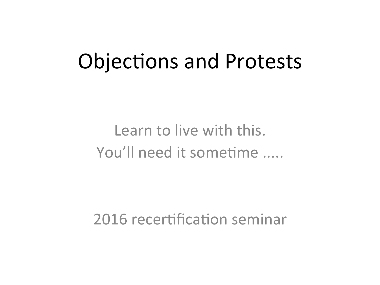## Objections and Protests

### Learn to live with this. You'll need it sometime .....

2016 recertification seminar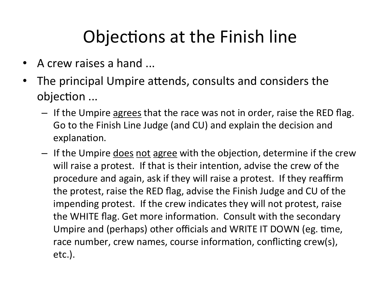### Objections at the Finish line

- A crew raises a hand ...
- The principal Umpire attends, consults and considers the objection ...
	- If the Umpire <u>agrees</u> that the race was not in order, raise the RED flag. Go to the Finish Line Judge (and CU) and explain the decision and explanation.
	- $-$  If the Umpire does not agree with the objection, determine if the crew will raise a protest. If that is their intention, advise the crew of the procedure and again, ask if they will raise a protest. If they reaffirm the protest, raise the RED flag, advise the Finish Judge and CU of the impending protest. If the crew indicates they will not protest, raise the WHITE flag. Get more information. Consult with the secondary Umpire and (perhaps) other officials and WRITE IT DOWN (eg. time, race number, crew names, course information, conflicting crew(s), etc.).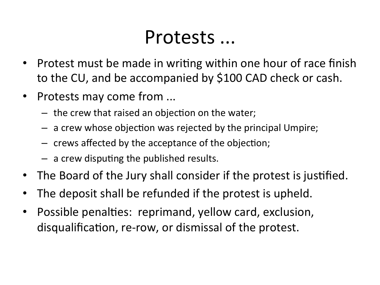### Protests ...

- Protest must be made in writing within one hour of race finish to the CU, and be accompanied by \$100 CAD check or cash.
- Protests may come from ...
	- $-$  the crew that raised an objection on the water;
	- $-$  a crew whose objection was rejected by the principal Umpire;
	- $-$  crews affected by the acceptance of the objection;
	- $-$  a crew disputing the published results.
- The Board of the Jury shall consider if the protest is justified.
- The deposit shall be refunded if the protest is upheld.
- Possible penalties: reprimand, yellow card, exclusion, disqualification, re-row, or dismissal of the protest.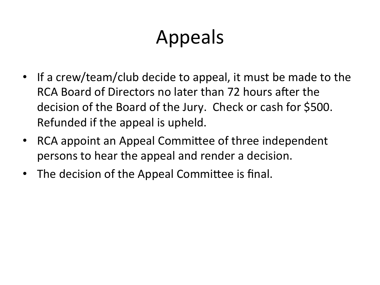# Appeals

- If a crew/team/club decide to appeal, it must be made to the RCA Board of Directors no later than 72 hours after the decision of the Board of the Jury. Check or cash for \$500. Refunded if the appeal is upheld.
- RCA appoint an Appeal Committee of three independent persons to hear the appeal and render a decision.
- The decision of the Appeal Committee is final.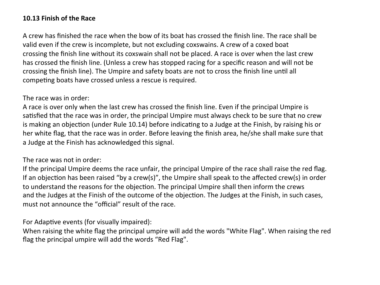#### **10.13 Finish of the Race**

A crew has finished the race when the bow of its boat has crossed the finish line. The race shall be valid even if the crew is incomplete, but not excluding coxswains. A crew of a coxed boat crossing the finish line without its coxswain shall not be placed. A race is over when the last crew has crossed the finish line. (Unless a crew has stopped racing for a specific reason and will not be crossing the finish line). The Umpire and safety boats are not to cross the finish line until all competing boats have crossed unless a rescue is required.

#### The race was in order:

A race is over only when the last crew has crossed the finish line. Even if the principal Umpire is satisfied that the race was in order, the principal Umpire must always check to be sure that no crew is making an objection (under Rule 10.14) before indicating to a Judge at the Finish, by raising his or her white flag, that the race was in order. Before leaving the finish area, he/she shall make sure that a Judge at the Finish has acknowledged this signal.

#### The race was not in order:

If the principal Umpire deems the race unfair, the principal Umpire of the race shall raise the red flag. If an objection has been raised "by a crew(s)", the Umpire shall speak to the affected crew(s) in order to understand the reasons for the objection. The principal Umpire shall then inform the crews and the Judges at the Finish of the outcome of the objection. The Judges at the Finish, in such cases, must not announce the "official" result of the race.

#### For Adaptive events (for visually impaired):

When raising the white flag the principal umpire will add the words "White Flag". When raising the red flag the principal umpire will add the words "Red Flag".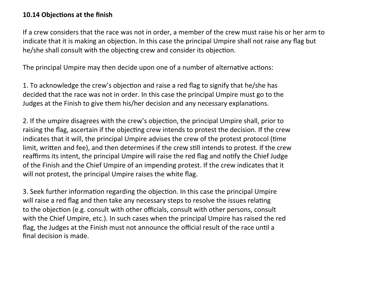#### **10.14 Objections at the finish**

If a crew considers that the race was not in order, a member of the crew must raise his or her arm to indicate that it is making an objection. In this case the principal Umpire shall not raise any flag but he/she shall consult with the objecting crew and consider its objection.

The principal Umpire may then decide upon one of a number of alternative actions:

1. To acknowledge the crew's objection and raise a red flag to signify that he/she has decided that the race was not in order. In this case the principal Umpire must go to the Judges at the Finish to give them his/her decision and any necessary explanations.

2. If the umpire disagrees with the crew's objection, the principal Umpire shall, prior to raising the flag, ascertain if the objecting crew intends to protest the decision. If the crew indicates that it will, the principal Umpire advises the crew of the protest protocol (time limit, written and fee), and then determines if the crew still intends to protest. If the crew reaffirms its intent, the principal Umpire will raise the red flag and notify the Chief Judge of the Finish and the Chief Umpire of an impending protest. If the crew indicates that it will not protest, the principal Umpire raises the white flag.

3. Seek further information regarding the objection. In this case the principal Umpire will raise a red flag and then take any necessary steps to resolve the issues relating to the objection (e.g. consult with other officials, consult with other persons, consult with the Chief Umpire, etc.). In such cases when the principal Umpire has raised the red flag, the Judges at the Finish must not announce the official result of the race until a final decision is made.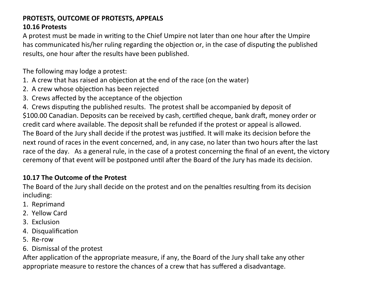#### **PROTESTS, OUTCOME OF PROTESTS, APPEALS 10.16 Protests**

A protest must be made in writing to the Chief Umpire not later than one hour after the Umpire has communicated his/her ruling regarding the objection or, in the case of disputing the published results, one hour after the results have been published.

The following may lodge a protest:

- 1. A crew that has raised an objection at the end of the race (on the water)
- 2. A crew whose objection has been rejected
- 3. Crews affected by the acceptance of the objection

4. Crews disputing the published results. The protest shall be accompanied by deposit of \$100.00 Canadian. Deposits can be received by cash, certified cheque, bank draft, money order or credit card where available. The deposit shall be refunded if the protest or appeal is allowed. The Board of the Jury shall decide if the protest was justified. It will make its decision before the next round of races in the event concerned, and, in any case, no later than two hours after the last race of the day. As a general rule, in the case of a protest concerning the final of an event, the victory ceremony of that event will be postponed until after the Board of the Jury has made its decision.

#### **10.17 The Outcome of the Protest**

The Board of the Jury shall decide on the protest and on the penalties resulting from its decision including: 

- 1. Reprimand
- 2. Yellow Card
- 3. Exclusion
- 4. Disqualification
- 5. Re-row
- 6. Dismissal of the protest

After application of the appropriate measure, if any, the Board of the Jury shall take any other appropriate measure to restore the chances of a crew that has suffered a disadvantage.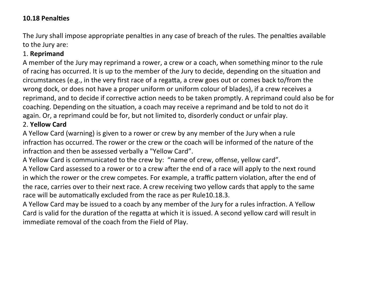#### **10.18 Penalties**

The Jury shall impose appropriate penalties in any case of breach of the rules. The penalties available to the Jury are:

#### 1. **Reprimand**

A member of the Jury may reprimand a rower, a crew or a coach, when something minor to the rule of racing has occurred. It is up to the member of the Jury to decide, depending on the situation and circumstances (e.g., in the very first race of a regatta, a crew goes out or comes back to/from the wrong dock, or does not have a proper uniform or uniform colour of blades), if a crew receives a reprimand, and to decide if corrective action needs to be taken promptly. A reprimand could also be for coaching. Depending on the situation, a coach may receive a reprimand and be told to not do it again. Or, a reprimand could be for, but not limited to, disorderly conduct or unfair play. 2. **Yellow Card**

A Yellow Card (warning) is given to a rower or crew by any member of the Jury when a rule infraction has occurred. The rower or the crew or the coach will be informed of the nature of the infraction and then be assessed verbally a "Yellow Card".

A Yellow Card is communicated to the crew by: "name of crew, offense, yellow card".

A Yellow Card assessed to a rower or to a crew after the end of a race will apply to the next round in which the rower or the crew competes. For example, a traffic pattern violation, after the end of the race, carries over to their next race. A crew receiving two yellow cards that apply to the same race will be automatically excluded from the race as per Rule10.18.3.

A Yellow Card may be issued to a coach by any member of the Jury for a rules infraction. A Yellow Card is valid for the duration of the regatta at which it is issued. A second yellow card will result in immediate removal of the coach from the Field of Play.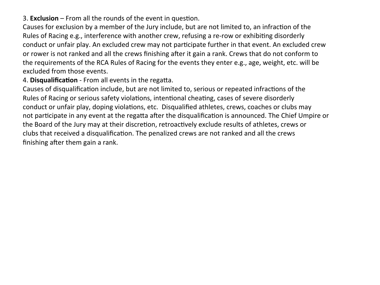3. **Exclusion** – From all the rounds of the event in question.

Causes for exclusion by a member of the Jury include, but are not limited to, an infraction of the Rules of Racing e.g., interference with another crew, refusing a re-row or exhibiting disorderly conduct or unfair play. An excluded crew may not participate further in that event. An excluded crew or rower is not ranked and all the crews finishing after it gain a rank. Crews that do not conform to the requirements of the RCA Rules of Racing for the events they enter e.g., age, weight, etc. will be excluded from those events.

4. Disqualification - From all events in the regatta.

Causes of disqualification include, but are not limited to, serious or repeated infractions of the Rules of Racing or serious safety violations, intentional cheating, cases of severe disorderly conduct or unfair play, doping violations, etc. Disqualified athletes, crews, coaches or clubs may not participate in any event at the regatta after the disqualification is announced. The Chief Umpire or the Board of the Jury may at their discretion, retroactively exclude results of athletes, crews or clubs that received a disqualification. The penalized crews are not ranked and all the crews finishing after them gain a rank.